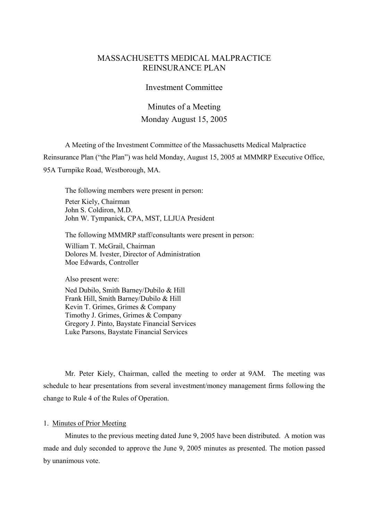# MASSACHUSETTS MEDICAL MALPRACTICE REINSURANCE PLAN

## Investment Committee

# Minutes of a Meeting Monday August 15, 2005

A Meeting of the Investment Committee of the Massachusetts Medical Malpractice Reinsurance Plan ("the Plan") was held Monday, August 15, 2005 at MMMRP Executive Office, 95A Turnpike Road, Westborough, MA.

The following members were present in person: Peter Kiely, Chairman John S. Coldiron, M.D. John W. Tympanick, CPA, MST, LLJUA President

The following MMMRP staff/consultants were present in person:

William T. McGrail, Chairman Dolores M. Ivester, Director of Administration Moe Edwards, Controller

Also present were:

Ned Dubilo, Smith Barney/Dubilo & Hill Frank Hill, Smith Barney/Dubilo & Hill Kevin T. Grimes, Grimes & Company Timothy J. Grimes, Grimes & Company Gregory J. Pinto, Baystate Financial Services Luke Parsons, Baystate Financial Services

Mr. Peter Kiely, Chairman, called the meeting to order at 9AM. The meeting was schedule to hear presentations from several investment/money management firms following the change to Rule 4 of the Rules of Operation.

## 1. Minutes of Prior Meeting

Minutes to the previous meeting dated June 9, 2005 have been distributed. A motion was made and duly seconded to approve the June 9, 2005 minutes as presented. The motion passed by unanimous vote.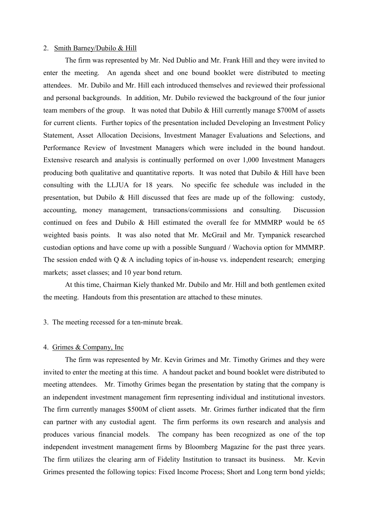### 2. Smith Barney/Dubilo & Hill

The firm was represented by Mr. Ned Dublio and Mr. Frank Hill and they were invited to enter the meeting. An agenda sheet and one bound booklet were distributed to meeting attendees. Mr. Dubilo and Mr. Hill each introduced themselves and reviewed their professional and personal backgrounds. In addition, Mr. Dubilo reviewed the background of the four junior team members of the group. It was noted that Dubilo & Hill currently manage \$700M of assets for current clients. Further topics of the presentation included Developing an Investment Policy Statement, Asset Allocation Decisions, Investment Manager Evaluations and Selections, and Performance Review of Investment Managers which were included in the bound handout. Extensive research and analysis is continually performed on over 1,000 Investment Managers producing both qualitative and quantitative reports. It was noted that Dubilo  $\&$  Hill have been consulting with the LLJUA for 18 years. No specific fee schedule was included in the presentation, but Dubilo & Hill discussed that fees are made up of the following: custody, accounting, money management, transactions/commissions and consulting. Discussion continued on fees and Dubilo & Hill estimated the overall fee for MMMRP would be 65 weighted basis points. It was also noted that Mr. McGrail and Mr. Tympanick researched custodian options and have come up with a possible Sunguard / Wachovia option for MMMRP. The session ended with  $Q \& A$  including topics of in-house vs. independent research; emerging markets; asset classes; and 10 year bond return.

At this time, Chairman Kiely thanked Mr. Dubilo and Mr. Hill and both gentlemen exited the meeting. Handouts from this presentation are attached to these minutes.

3. The meeting recessed for a ten-minute break.

#### 4. Grimes & Company, Inc

The firm was represented by Mr. Kevin Grimes and Mr. Timothy Grimes and they were invited to enter the meeting at this time. A handout packet and bound booklet were distributed to meeting attendees. Mr. Timothy Grimes began the presentation by stating that the company is an independent investment management firm representing individual and institutional investors. The firm currently manages \$500M of client assets. Mr. Grimes further indicated that the firm can partner with any custodial agent. The firm performs its own research and analysis and produces various financial models. The company has been recognized as one of the top independent investment management firms by Bloomberg Magazine for the past three years. The firm utilizes the clearing arm of Fidelity Institution to transact its business. Mr. Kevin Grimes presented the following topics: Fixed Income Process; Short and Long term bond yields;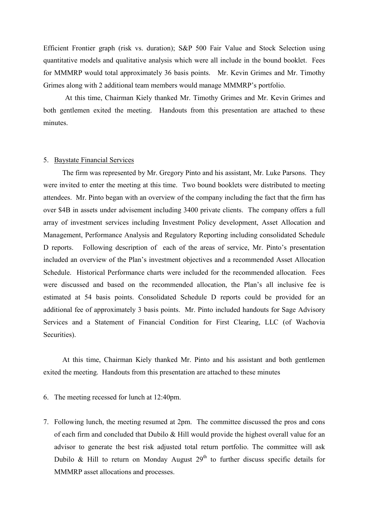Efficient Frontier graph (risk vs. duration); S&P 500 Fair Value and Stock Selection using quantitative models and qualitative analysis which were all include in the bound booklet. Fees for MMMRP would total approximately 36 basis points. Mr. Kevin Grimes and Mr. Timothy Grimes along with 2 additional team members would manage MMMRP's portfolio.

At this time, Chairman Kiely thanked Mr. Timothy Grimes and Mr. Kevin Grimes and both gentlemen exited the meeting. Handouts from this presentation are attached to these minutes.

## 5. Baystate Financial Services

The firm was represented by Mr. Gregory Pinto and his assistant, Mr. Luke Parsons. They were invited to enter the meeting at this time. Two bound booklets were distributed to meeting attendees. Mr. Pinto began with an overview of the company including the fact that the firm has over \$4B in assets under advisement including 3400 private clients. The company offers a full array of investment services including Investment Policy development, Asset Allocation and Management, Performance Analysis and Regulatory Reporting including consolidated Schedule D reports. Following description of each of the areas of service, Mr. Pinto's presentation included an overview of the Plan's investment objectives and a recommended Asset Allocation Schedule. Historical Performance charts were included for the recommended allocation. Fees were discussed and based on the recommended allocation, the Plan's all inclusive fee is estimated at 54 basis points. Consolidated Schedule D reports could be provided for an additional fee of approximately 3 basis points. Mr. Pinto included handouts for Sage Advisory Services and a Statement of Financial Condition for First Clearing, LLC (of Wachovia Securities).

At this time, Chairman Kiely thanked Mr. Pinto and his assistant and both gentlemen exited the meeting. Handouts from this presentation are attached to these minutes

- 6. The meeting recessed for lunch at 12:40pm.
- 7. Following lunch, the meeting resumed at 2pm. The committee discussed the pros and cons of each firm and concluded that Dubilo & Hill would provide the highest overall value for an advisor to generate the best risk adjusted total return portfolio. The committee will ask Dubilo & Hill to return on Monday August  $29<sup>th</sup>$  to further discuss specific details for MMMRP asset allocations and processes.